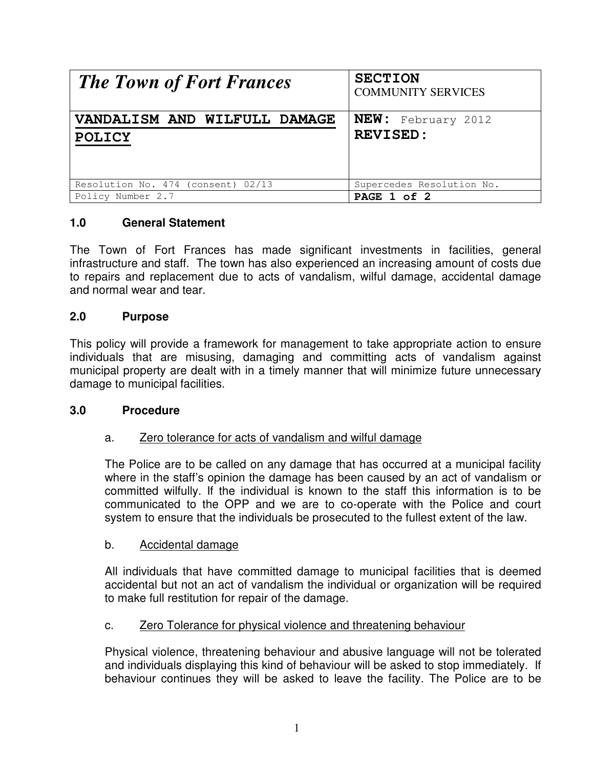| <b>The Town of Fort Frances</b>    | <b>SECTION</b><br><b>COMMUNITY SERVICES</b> |
|------------------------------------|---------------------------------------------|
| VANDALISM AND WILFULL DAMAGE       | <b>NEW:</b> February 2012                   |
| <b>POLICY</b>                      | <b>REVISED:</b>                             |
| Resolution No. 474 (consent) 02/13 | Supercedes Resolution No.                   |
| Policy Number 2.7                  | PAGE 1 of 2                                 |

# **1.0 General Statement**

The Town of Fort Frances has made significant investments in facilities, general infrastructure and staff. The town has also experienced an increasing amount of costs due to repairs and replacement due to acts of vandalism, wilful damage, accidental damage and normal wear and tear.

#### **2.0 Purpose**

This policy will provide a framework for management to take appropriate action to ensure individuals that are misusing, damaging and committing acts of vandalism against municipal property are dealt with in a timely manner that will minimize future unnecessary damage to municipal facilities.

#### **3.0 Procedure**

### a. Zero tolerance for acts of vandalism and wilful damage

The Police are to be called on any damage that has occurred at a municipal facility where in the staff's opinion the damage has been caused by an act of vandalism or committed wilfully. If the individual is known to the staff this information is to be communicated to the OPP and we are to co-operate with the Police and court system to ensure that the individuals be prosecuted to the fullest extent of the law.

#### b. Accidental damage

All individuals that have committed damage to municipal facilities that is deemed accidental but not an act of vandalism the individual or organization will be required to make full restitution for repair of the damage.

### c. Zero Tolerance for physical violence and threatening behaviour

Physical violence, threatening behaviour and abusive language will not be tolerated and individuals displaying this kind of behaviour will be asked to stop immediately. If behaviour continues they will be asked to leave the facility. The Police are to be